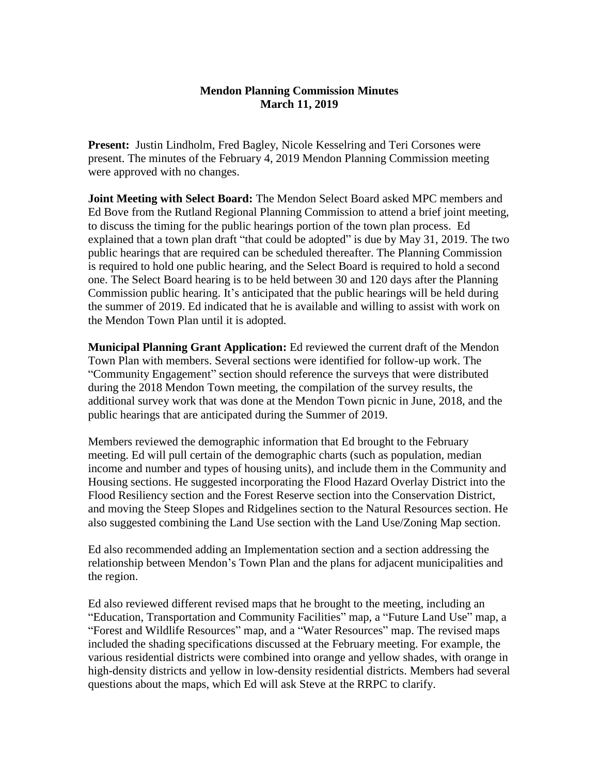## **Mendon Planning Commission Minutes March 11, 2019**

**Present:** Justin Lindholm, Fred Bagley, Nicole Kesselring and Teri Corsones were present. The minutes of the February 4, 2019 Mendon Planning Commission meeting were approved with no changes.

**Joint Meeting with Select Board:** The Mendon Select Board asked MPC members and Ed Bove from the Rutland Regional Planning Commission to attend a brief joint meeting, to discuss the timing for the public hearings portion of the town plan process. Ed explained that a town plan draft "that could be adopted" is due by May 31, 2019. The two public hearings that are required can be scheduled thereafter. The Planning Commission is required to hold one public hearing, and the Select Board is required to hold a second one. The Select Board hearing is to be held between 30 and 120 days after the Planning Commission public hearing. It's anticipated that the public hearings will be held during the summer of 2019. Ed indicated that he is available and willing to assist with work on the Mendon Town Plan until it is adopted.

**Municipal Planning Grant Application:** Ed reviewed the current draft of the Mendon Town Plan with members. Several sections were identified for follow-up work. The "Community Engagement" section should reference the surveys that were distributed during the 2018 Mendon Town meeting, the compilation of the survey results, the additional survey work that was done at the Mendon Town picnic in June, 2018, and the public hearings that are anticipated during the Summer of 2019.

Members reviewed the demographic information that Ed brought to the February meeting. Ed will pull certain of the demographic charts (such as population, median income and number and types of housing units), and include them in the Community and Housing sections. He suggested incorporating the Flood Hazard Overlay District into the Flood Resiliency section and the Forest Reserve section into the Conservation District, and moving the Steep Slopes and Ridgelines section to the Natural Resources section. He also suggested combining the Land Use section with the Land Use/Zoning Map section.

Ed also recommended adding an Implementation section and a section addressing the relationship between Mendon's Town Plan and the plans for adjacent municipalities and the region.

Ed also reviewed different revised maps that he brought to the meeting, including an "Education, Transportation and Community Facilities" map, a "Future Land Use" map, a "Forest and Wildlife Resources" map, and a "Water Resources" map. The revised maps included the shading specifications discussed at the February meeting. For example, the various residential districts were combined into orange and yellow shades, with orange in high-density districts and yellow in low-density residential districts. Members had several questions about the maps, which Ed will ask Steve at the RRPC to clarify.